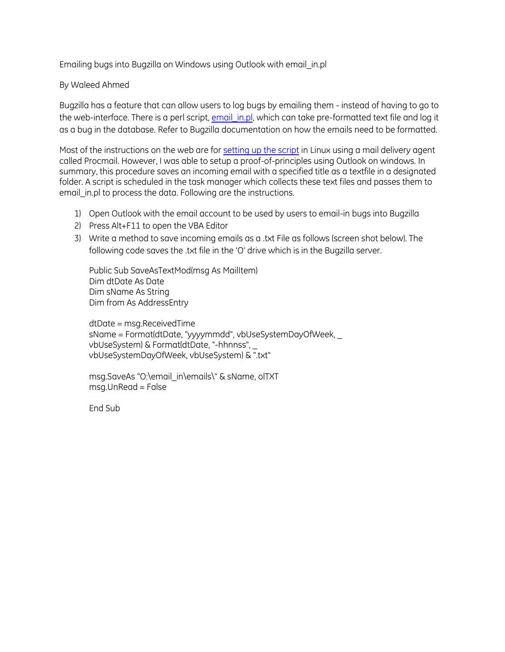Emailing bugs into Bugzilla on Windows using Outlook with email\_in.pl

## By Waleed Ahmed

Bugzilla has a feature that can allow users to log bugs by emailing them - instead of having to go to the web-interface. There is a perl script, [email\\_in.pl,](https://www.bugzilla.org/docs/4.2/en/html/api/email_in.html) which can take pre-formatted text file and log it as a bug in the database. Refer to Bugzilla documentation on how the emails need to be formatted.

Most of the instructions on the web are for [setting up the script](https://rojanu.wordpress.com/2012/11/13/bugzilla-recieve-bugs-via-email/) in Linux using a mail delivery agent called Procmail. However, I was able to setup a proof-of-principles using Outlook on windows. In summary, this procedure saves an incoming email with a specified title as a textfile in a designated folder. A script is scheduled in the task manager which collects these text files and passes them to email\_in.pl to process the data. Following are the instructions.

- 1) Open Outlook with the email account to be used by users to email-in bugs into Bugzilla
- 2) Press Alt+F11 to open the VBA Editor
- 3) Write a method to save incoming emails as a .txt File as follows (screen shot below). The following code saves the .txt file in the 'O' drive which is in the Bugzilla server.

Public Sub SaveAsTextMod(msg As MailItem) Dim dtDate As Date Dim sName As String Dim from As AddressEntry

dtDate = msg.ReceivedTime sName = Format(dtDate, "yyyymmdd", vbUseSystemDayOfWeek, \_ vbUseSystem) & Format(dtDate, "-hhnnss", \_ vbUseSystemDayOfWeek, vbUseSystem) & ".txt"

msg.SaveAs "O:\email\_in\emails\" & sName, olTXT  $msa.UnRead = False$ 

End Sub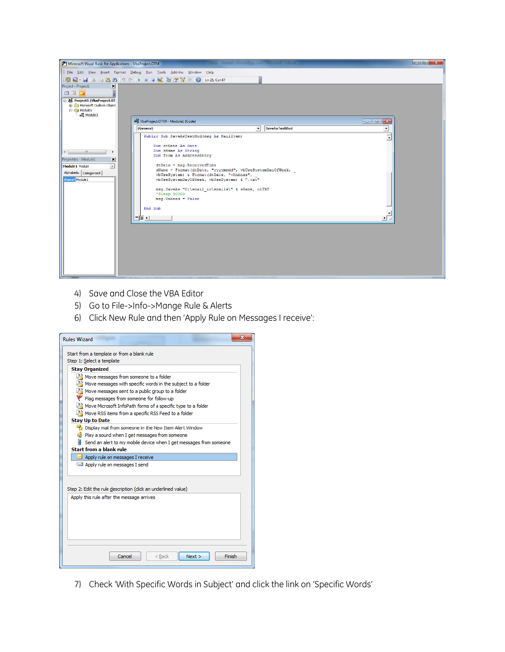

- 4) Save and Close the VBA Editor
- 5) Go to File->Info->Mange Rule & Alerts
- 6) Click New Rule and then 'Apply Rule on Messages I receive':

| Ж<br><b>Rules Wizard</b>                                                                                                                                                                                                                                                                                                                                                                                                                                                                                                                  |
|-------------------------------------------------------------------------------------------------------------------------------------------------------------------------------------------------------------------------------------------------------------------------------------------------------------------------------------------------------------------------------------------------------------------------------------------------------------------------------------------------------------------------------------------|
| Start from a template or from a blank rule<br>Step 1: Select a template                                                                                                                                                                                                                                                                                                                                                                                                                                                                   |
| <b>Stay Organized</b>                                                                                                                                                                                                                                                                                                                                                                                                                                                                                                                     |
| $\mathbb{A}^3$ . Move messages from someone to a folder<br>$\frac{33}{12}$ Move messages with specific words in the subject to a folder<br>$\frac{33}{2}$ Move messages sent to a public group to a folder<br>Flag messages from someone for follow-up<br>Move Microsoft InfoPath forms of a specific type to a folder<br>$\downarrow^{\lambda}$ Move RSS items from a specific RSS Feed to a folder<br><b>Stay Up to Date</b><br>Display mail from someone in the New Item Alert Window<br>Play a sound when I get messages from someone |
| Send an alert to my mobile device when I get messages from someone                                                                                                                                                                                                                                                                                                                                                                                                                                                                        |
| Start from a blank rule                                                                                                                                                                                                                                                                                                                                                                                                                                                                                                                   |
| $\triangleq$ Apply rule on messages I receive                                                                                                                                                                                                                                                                                                                                                                                                                                                                                             |
| Apply rule on messages I send                                                                                                                                                                                                                                                                                                                                                                                                                                                                                                             |
| Step 2: Edit the rule description (click an underlined value)                                                                                                                                                                                                                                                                                                                                                                                                                                                                             |
| Apply this rule after the message arrives                                                                                                                                                                                                                                                                                                                                                                                                                                                                                                 |
| Cancel<br>Next<br>Finish<br>$<$ Back                                                                                                                                                                                                                                                                                                                                                                                                                                                                                                      |

7) Check 'With Specific Words in Subject' and click the link on 'Specific Words'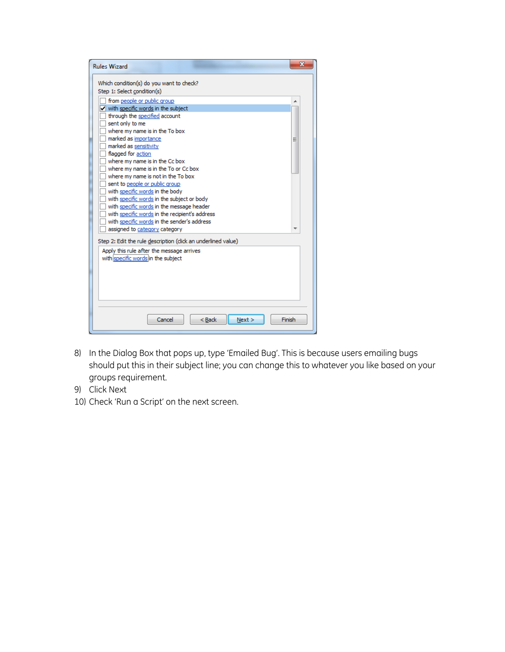| <b>Rules Wizard</b>                                                                                                                        | х      |
|--------------------------------------------------------------------------------------------------------------------------------------------|--------|
| Which condition(s) do you want to check?<br>Step 1: Select condition(s)                                                                    |        |
| from people or public group                                                                                                                |        |
| $\sqrt{\ }$ with specific words in the subject<br>through the specified account<br>sent only to me<br>where my name is in the To box       |        |
| marked as importance<br>۱<br>marked as sensitivity<br>flagged for action                                                                   | Ξ      |
| where my name is in the Cc box<br>where my name is in the To or Cc box<br>where my name is not in the To box                               |        |
| sent to people or public group<br>with specific words in the body<br>with specific words in the subject or body                            |        |
| with specific words in the message header<br>with specific words in the recipient's address<br>with specific words in the sender's address |        |
| assigned to category category                                                                                                              |        |
| Step 2: Edit the rule description (click an underlined value)                                                                              |        |
| Apply this rule after the message arrives<br>with specific words in the subject                                                            |        |
|                                                                                                                                            |        |
|                                                                                                                                            |        |
| Cancel<br>$Back$<br>Next                                                                                                                   | Finish |

- 8) In the Dialog Box that pops up, type 'Emailed Bug'. This is because users emailing bugs should put this in their subject line; you can change this to whatever you like based on your groups requirement.
- 9) Click Next
- 10) Check 'Run a Script' on the next screen.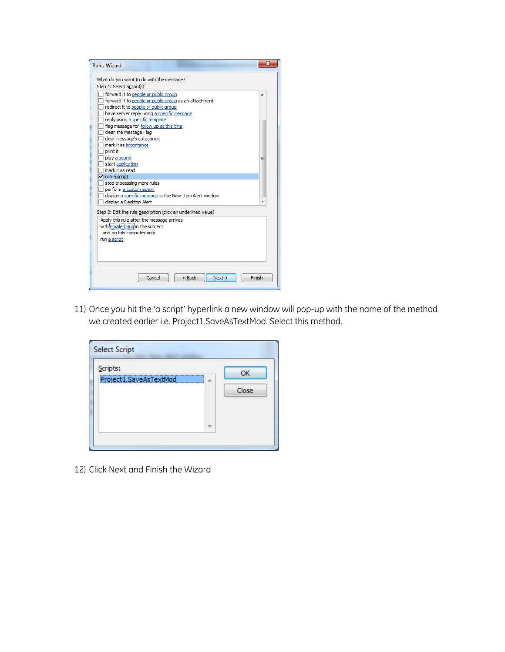

11) Once you hit the 'a script' hyperlink a new window will pop-up with the name of the method we created earlier i.e. Project1.SaveAsTextMod. Select this method.

| <b>Select Script</b>               |                  |
|------------------------------------|------------------|
| Scripts:<br>Project1.SaveAsTextMod | OK<br>止<br>Close |
|                                    |                  |

12) Click Next and Finish the Wizard